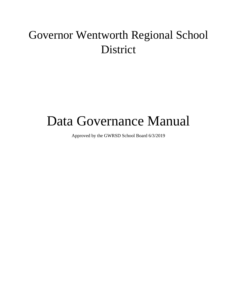## Governor Wentworth Regional School District

# Data Governance Manual

Approved by the GWRSD School Board 6/3/2019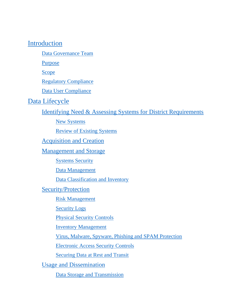#### [Introduction](#page-4-0)

[Data Governance Team](#page-4-1)

[Purpose](#page-5-0)

[Scope](#page-5-1)

[Regulatory Compliance](#page-6-0)

[Data User Compliance](#page-7-0)

#### [Data Lifecycle](#page-9-0)

[Identifying Need & Assessing Systems for District Requirements](#page-9-1)

[New Systems](#page-9-2)

[Review of Existing Systems](#page-11-0)

[Acquisition and Creation](#page-11-1)

[Management and Storage](#page-12-0)

[Systems Security](#page-12-1)

[Data Management](#page-12-2)

[Data Classification and Inventory](#page-13-0)

[Security/Protection](#page-14-0)

[Risk Management](#page-14-1)

[Security Logs](#page-14-2)

[Physical Security Controls](#page-14-3)

[Inventory Management](#page-15-0)

[Virus, Malware, Spyware, Phishing and SPAM Protection](#page-15-1)

[Electronic Access Security Controls](#page-15-2)

[Securing Data at Rest and Transit](#page-17-0)

[Usage and Dissemination](#page-17-1)

[Data Storage and Transmission](#page-18-0)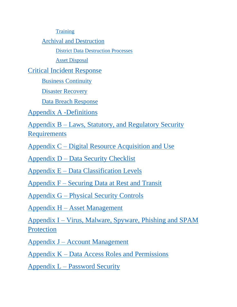**[Training](#page-19-0)** 

[Archival and Destruction](#page-20-0)

[District Data Destruction Processes](#page-20-1)

[Asset Disposal](#page-20-2)

[Critical Incident Response](#page-21-0)

[Business Continuity](#page-21-1)

[Disaster Recovery](#page-21-2)

[Data Breach Response](#page-21-3)

[Appendix A -Definitions](#page-23-0)

Appendix B – [Laws, Statutory, and Regulatory Security](#page-25-0)  [Requirements](#page-25-0)

Appendix C – [Digital Resource Acquisition and Use](#page-27-0)

Appendix D – [Data Security Checklist](#page-30-0)

Appendix E – [Data Classification Levels](#page-32-0)

Appendix F – [Securing Data at Rest and Transit](#page-34-0)

Appendix G – [Physical Security Controls](#page-38-0)

Appendix H – [Asset Management](#page-39-0)

Appendix I – [Virus, Malware, Spyware, Phishing and SPAM](#page-41-0)  **[Protection](#page-41-0)** 

Appendix J – [Account Management](#page-42-0)

Appendix K – [Data Access Roles and Permissions](#page-44-0)

Appendix  $L -$  [Password Security](#page-48-0)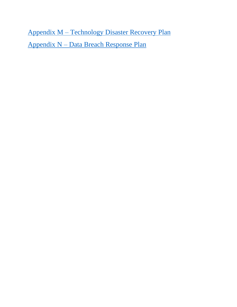Appendix M – [Technology Disaster Recovery Plan](#page-49-0) Appendix N – [Data Breach Response Plan](#page-52-0)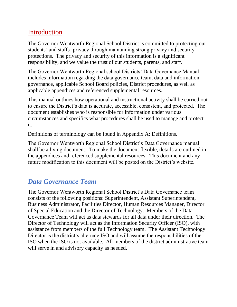### <span id="page-4-0"></span>Introduction

The Governor Wentworth Regional School District is committed to protecting our students' and staffs' privacy through maintaining strong privacy and security protections. The privacy and security of this information is a significant responsibility, and we value the trust of our students, parents, and staff.

The Governor Wentworth Regional school Districts' Data Governance Manual includes information regarding the data governance team, data and information governance, applicable School Board policies, District procedures, as well as applicable appendices and referenced supplemental resources.

This manual outlines how operational and instructional activity shall be carried out to ensure the District's data is accurate, accessible, consistent, and protected. The document establishes who is responsible for information under various circumstances and specifics what procedures shall be used to manage and protect it.

Definitions of terminology can be found in Appendix A: Definitions.

The Governor Wentworth Regional School District's Data Governance manual shall be a living document. To make the document flexible, details are outlined in the appendices and referenced supplemental resources. This document and any future modification to this document will be posted on the District's website.

### <span id="page-4-1"></span>*Data Governance Team*

The Governor Wentworth Regional School District's Data Governance team consists of the following positions: Superintendent, Assistant Superintendent, Business Administrator, Facilities Director, Human Resources Manager, Director of Special Education and the Director of Technology. Members of the Data Governance Team will act as data stewards for all data under their direction. The Director of Technology will act as the Information Security Officer (ISO), with assistance from members of the full Technology team. The Assistant Technology Director is the district's alternate ISO and will assume the responsibilities of the ISO when the ISO is not available. All members of the district administrative team will serve in and advisory capacity as needed.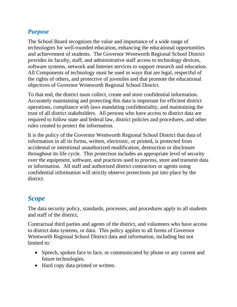#### <span id="page-5-0"></span>*Purpose*

The School Board recognizes the value and importance of a wide range of technologies for well-rounded education, enhancing the educational opportunities and achievement of students. The Governor Wentworth Regional School District provides its faculty, staff, and administrative staff access to technology devices, software systems, network and Internet services to support research and education. All Components of technology must be used in ways that are legal, respectful of the rights of others, and protective of juveniles and that promote the educational objectives of Governor Wentworth Regional School District.

To that end, the district must collect, create and store confidential information. Accurately maintaining and protecting this data is important for efficient district operations, compliance with laws mandating confidentiality, and maintaining the trust of all district stakeholders. All persons who have access to district data are required to follow state and federal law, district policies and procedures, and other rules created to protect the information.

It is the policy of the Governor Wentworth Regional School District that data of information in all its forms, written, electronic, or printed, is protected from accidental or intentional unauthorized modification, destruction or disclosure throughout its life cycle. This protection includes an appropriate level of security over the equipment, software, and practices used to process, store and transmit data or information. All staff and authorized district contractors or agents using confidential information will strictly observe protections put into place by the district.

### <span id="page-5-1"></span>*Scope*

The data security policy, standards, processes, and procedures apply to all students and staff of the district,

Contractual third parties and agents of the district, and volunteers who have access to district data systems, or data. This policy applies to all forms of Governor Wentworth Regional School District data and information, including but not limited to:

- Speech, spoken face to face, or communicated by phone or any current and future technologies.
- Hard copy data printed or written.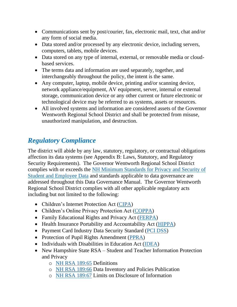- Communications sent by post/courier, fax, electronic mail, text, chat and/or any form of social media.
- Data stored and/or processed by any electronic device, including servers, computers, tablets, mobile devices.
- Data stored on any type of internal, external, or removable media or cloudbased services.
- The terms data and information are used separately, together, and interchangeably throughout the policy, the intent is the same.
- Any computer, laptop, mobile device, printing and/or scanning device, network appliance/equipment, AV equipment, server, internal or external storage, communication device or any other current or future electronic or technological device may be referred to as systems, assets or resources.
- All involved systems and information are considered assets of the Governor Wentworth Regional School District and shall be protected from misuse, unauthorized manipulation, and destruction.

## <span id="page-6-0"></span>*Regulatory Compliance*

The district will abide by any law, statutory, regulatory, or contractual obligations affection its data systems (see Appendix B: Laws, Statutory, and Regulatory Security Requirements). The Governor Wentworth Regional School District complies with or exceeds the [NH Minimum Standards for Privacy and Security of](https://docs.google.com/document/d/1R9VTh7CXGzhmK1GXAe_EBZBVTZChfq4d3xKO6jf5itM/edit)  [Student and Employee](https://docs.google.com/document/d/1R9VTh7CXGzhmK1GXAe_EBZBVTZChfq4d3xKO6jf5itM/edit) Data and standards applicable to data governance are addressed throughout this Data Governance Manual. The Governor Wentworth Regional School District complies with all other applicable regulatory acts including but not limited to the following:

- Children's Internet Protection Act [\(CIPA\)](https://www.fcc.gov/consumers/guides/childrens-internet-protection-act)
- Children's Online Privacy Protection Act [\(COPPA\)](https://www.ftc.gov/tips-advice/business-center/privacy-and-security/children%27s-privacy)
- Family Educational Rights and Privacy Act [\(FERPA\)](https://www2.ed.gov/policy/gen/guid/fpco/ferpa/index.html)
- Health Insurance Portability and Accountability Act [\(HIPPA\)](https://www.hhs.gov/hipaa/index.html)
- Payment Card Industry Data Security Standard [\(PCI DSS\)](https://www.pcisecuritystandards.org/)
- Protection of Pupil Rights Amendment [\(PPRA\)](https://www2.ed.gov/policy/gen/guid/fpco/ppra/index.html)
- Individuals with Disabilities in Education Act [\(IDEA\)](https://sites.ed.gov/idea/)
- New Hampshire State RSA Student and Teacher Information Protection and Privacy
	- o [NH RSA 189:65](http://www.gencourt.state.nh.us/rsa/html/XV/189/189-65.htm) Definitions
	- o [NH RSA 189:66](http://www.gencourt.state.nh.us/rsa/html/XV/189/189-66.htm) Data Inventory and Policies Publication
	- o [NH RSA 189:67](http://www.gencourt.state.nh.us/rsa/html/XV/189/189-67.htm) Limits on Disclosure of Information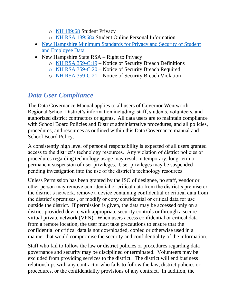- o [NH 189:68](http://www.gencourt.state.nh.us/rsa/html/XV/189/189-68.htm) Student Privacy
- o [NH RSA 189:68a](https://docs.google.com/document/d/18d3gs3OOhDG6Moe6s1cEpHBskO_QiuwAd9C8pMce0FQ/edit?usp=sharing) Student Online Personal Information
- New Hampshire Minimum Standards for Privacy and Security of Student [and Employee Data](https://docs.google.com/document/d/15lhhzvzxwSViQ-Nk0LiknOlxZkrmcxrMJ7OmOlvrFA8/edit?usp=sharing)
- New Hampshire State RSA Right to Privacy
	- o [NH RSA 359-C:19](http://www.gencourt.state.nh.us/rsa/html/xxxi/359-c/359-c-19.htm) Notice of Security Breach Definitions
	- o [NH RSA 359-C:20](http://www.gencourt.state.nh.us/rsa/html/xxxi/359-c/359-c-20.htm) Notice of Security Breach Require[d](http://www.gencourt.state.nh.us/rsa/html/xxxi/359-c/359-c-21.htm)
	- o [NH RSA 359-C:21](http://www.gencourt.state.nh.us/rsa/html/xxxi/359-c/359-c-21.htm) Notice of Security Breach Violation

### <span id="page-7-0"></span>*Data User Compliance*

The Data Governance Manual applies to all users of Governor Wentworth Regional School District's information including: staff, students, volunteers, and authorized district contractors or agents. All data users are to maintain compliance with School Board Policies and District administrative procedures, and all policies, procedures, and resources as outlined within this Data Governance manual and School Board Policy.

A consistently high level of personal responsibility is expected of all users granted access to the district's technology resources. Any violation of district policies or procedures regarding technology usage may result in temporary, long-term or permanent suspension of user privileges. User privileges may be suspended pending investigation into the use of the district's technology resources.

Unless Permission has been granted by the ISO of designee, no staff, vendor or other person may remove confidential or critical data from the district's premise or the district's network, remove a device containing confidential or critical data from the district's premises , or modify or copy confidential or critical data for use outside the district. If permission is given, the data may be accessed only on a district-provided device with appropriate security controls or through a secure virtual private network (VPN). When users access confidential or critical data from a remote location, the user must take precautions to ensure that the confidential or critical data is not downloaded, copied or otherwise used in a manner that would compromise the security and confidentiality of the information.

Staff who fail to follow the law or district policies or procedures regarding data governance and security may be disciplined or terminated. Volunteers may be excluded from providing services to the district. The district will end business relationships with any contractor who fails to follow the law, district policies or procedures, or the confidentiality provisions of any contract. In addition, the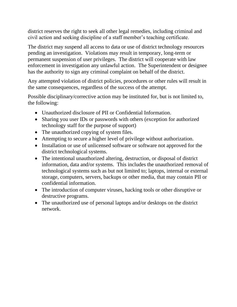district reserves the right to seek all other legal remedies, including criminal and civil action and seeking discipline of a staff member's teaching certificate.

The district may suspend all access to data or use of district technology resources pending an investigation. Violations may result in temporary, long-term or permanent suspension of user privileges. The district will cooperate with law enforcement in investigation any unlawful action. The Superintendent or designee has the authority to sign any criminal complaint on behalf of the district.

Any attempted violation of district policies, procedures or other rules will result in the same consequences, regardless of the success of the attempt.

Possible disciplinary/corrective action may be instituted for, but is not limited to, the following:

- Unauthorized disclosure of PII or Confidential Information.
- Sharing you user IDs or passwords with others (exception for authorized technology staff for the purpose of support)
- The unauthorized copying of system files.
- Attempting to secure a higher level of privilege without authorization.
- Installation or use of unlicensed software or software not approved for the district technological systems.
- The intentional unauthorized altering, destruction, or disposal of district information, data and/or systems. This includes the unauthorized removal of technological systems such as but not limited to; laptops, internal or external storage, computers, servers, backups or other media, that may contain PII or confidential information.
- The introduction of computer viruses, hacking tools or other disruptive or destructive programs.
- The unauthorized use of personal laptops and/or desktops on the district network.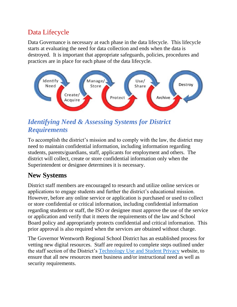### <span id="page-9-0"></span>Data Lifecycle

Data Governance is necessary at each phase in the data lifecycle. This lifecycle starts at evaluating the need for data collection and ends when the data is destroyed. It is important that appropriate safeguards, policies, procedures and practices are in place for each phase of the data lifecycle.



### <span id="page-9-1"></span>*Identifying Need & Assessing Systems for District Requirements*

To accomplish the district's mission and to comply with the law, the district may need to maintain confidential information, including information regarding students, parents/guardians, staff, applicants for employment and others. The district will collect, create or store confidential information only when the Superintendent or designee determines it is necessary.

### <span id="page-9-2"></span>**New Systems**

District staff members are encouraged to research and utilize online services or applications to engage students and further the district's educational mission. However, before any online service or application is purchased or used to collect or store confidential or critical information, including confidential information regarding students or staff, the ISO or designee must approve the use of the service or application and verify that it meets the requirements of the law and School Board policy and appropriately protects confidential and critical information. This prior approval is also required when the services are obtained without charge.

The Governor Wentworth Regional School District has an established process for vetting new digital resources. Staff are required to complete steps outlined under the staff section of the District's [Technology Use and Student Privacy](https://www.gwrsd.org/technology-use-and-student-privacy.html) website, to ensure that all new resources meet business and/or instructional need as well as security requirements.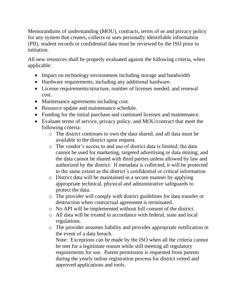Memorandums of understanding (MOU), contracts, terms of se and privacy policy for any system that creates, collects or uses personally identifiable information (PII), student records or confidential data must be reviewed by the ISO prior to initiation.

All new resources shall be properly evaluated against the following criteria, when applicable:

- Impact on technology environment including storage and bandwidth
- Hardware requirements, including any additional hardware.
- License requirements/structure, number of licenses needed, and renewal cost.
- Maintenance agreements including cost.
- Resource update and maintenance schedule.
- Funding for the initial purchase and continued licenses and maintenance.
- Evaluate terms of service, privacy policy, and MOU/contract that meet the following criteria:
	- o The district continues to own the data shared, and all data must be available to the district upon request.
	- o The vendor's access to and use of district data is limited; the data cannot be used for marketing, targeted advertising or data mining; and the data cannot be shared with third parties unless allowed by law and authorized by the district. If metadata is collected, it will be protected to the same extent as the district's confidential or critical information.
	- o District data will be maintained in a secure manner by applying appropriate technical, physical and administrative safeguards to protect the data.
	- o The provider will comply with district guidelines for data transfer or destruction when contractual agreement is terminated.
	- o No API will be implemented without full consent of the district.
	- o All data will be treated in accordance with federal, state and local regulations.
	- o The provider assumes liability and provides appropriate notification in the event of a data breach.

Note: Exceptions can be made by the ISO when all the criteria cannot be met for a legitimate reason while still meeting all regulatory requirements for use. Parent permission is requested from parents during the yearly online registration process for district vetted and approved applications and tools.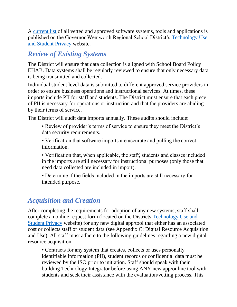A [current list](https://www.gwrsd.org/technology-use-and-student-privacy.html) of all vetted and approved software systems, tools and applications is published on the Governor Wentworth Regional School District's [Technology Use](https://www.gwrsd.org/technology-use-and-student-privacy.html)  [and Student Privacy](https://www.gwrsd.org/technology-use-and-student-privacy.html) website.

### <span id="page-11-0"></span>*Review of Existing Systems*

The District will ensure that data collection is aligned with School Board Policy EHAB. Data systems shall be regularly reviewed to ensure that only necessary data is being transmitted and collected.

Individual student level data is submitted to different approved service providers in order to ensure business operations and instructional services. At times, these imports include PII for staff and students. The District must ensure that each piece of PII is necessary for operations or instruction and that the providers are abiding by their terms of service.

The District will audit data imports annually. These audits should include:

• Review of provider's terms of service to ensure they meet the District's data security requirements.

• Verification that software imports are accurate and pulling the correct information.

• Verification that, when applicable, the staff, students and classes included in the imports are still necessary for instructional purposes (only those that need data collected are included in import).

• Determine if the fields included in the imports are still necessary for intended purpose.

### <span id="page-11-1"></span>*Acquisition and Creation*

After completing the requirements for adoption of any new systems, staff shall complete an online request form (located on the Districts [Technology Use and](https://www.gwrsd.org/technology-use-and-student-privacy.html)  [Student Privacy](https://www.gwrsd.org/technology-use-and-student-privacy.html) website) for any new digital app/tool that either has an associated cost or collects staff or student data (see Appendix C: Digital Resource Acquisition and Use). All staff must adhere to the following guidelines regarding a new digital resource acquisition:

• Contracts for any system that creates, collects or uses personally identifiable information (PII), student records or confidential data must be reviewed by the ISO prior to initiation. Staff should speak with their building Technology Integrator before using ANY new app/online tool with students and seek their assistance with the evaluation/vetting process. This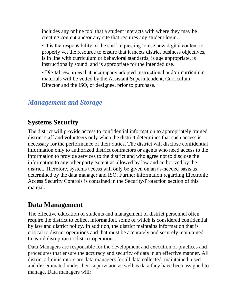includes any online tool that a student interacts with where they may be creating content and/or any site that requires any student login.

• It is the responsibility of the staff requesting to use new digital content to properly vet the resource to ensure that it meets district business objectives, is in line with curriculum or behavioral standards, is age appropriate, is instructionally sound, and is appropriate for the intended use.

• Digital resources that accompany adopted instructional and/or curriculum materials will be vetted by the Assistant Superintendent, Curriculum Director and the ISO, or designee, prior to purchase.

### <span id="page-12-0"></span>*Management and Storage*

### <span id="page-12-1"></span>**Systems Security**

The district will provide access to confidential information to appropriately trained district staff and volunteers only when the district determines that such access is necessary for the performance of their duties. The district will disclose confidential information only to authorized district contractors or agents who need access to the information to provide services to the district and who agree not to disclose the information to any other party except as allowed by law and authorized by the district. Therefore, systems access will only be given on an as-needed basis as determined by the data manager and ISO. Further information regarding Electronic Access Security Controls is contained in the Security/Protection section of this manual.

### <span id="page-12-2"></span>**Data Management**

The effective education of students and management of district personnel often require the district to collect information, some of which is considered confidential by law and district policy. In addition, the district maintains information that is critical to district operations and that must be accurately and securely maintained to avoid disruption to district operations.

Data Managers are responsible for the development and execution of practices and procedures that ensure the accuracy and security of data in an effective manner. All district administrators are data managers for all data collected, maintained, used and disseminated under their supervision as well as data they have been assigned to manage. Data managers will: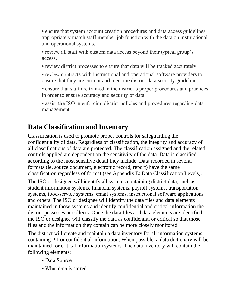• ensure that system account creation procedures and data access guidelines appropriately match staff member job function with the data on instructional and operational systems.

• review all staff with custom data access beyond their typical group's access.

• review district processes to ensure that data will be tracked accurately.

• review contracts with instructional and operational software providers to ensure that they are current and meet the district data security guidelines.

• ensure that staff are trained in the district's proper procedures and practices in order to ensure accuracy and security of data.

• assist the ISO in enforcing district policies and procedures regarding data management.

### <span id="page-13-0"></span>**Data Classification and Inventory**

Classification is used to promote proper controls for safeguarding the confidentiality of data. Regardless of classification, the integrity and accuracy of all classifications of data are protected. The classification assigned and the related controls applied are dependent on the sensitivity of the data. Data is classified according to the most sensitive detail they include. Data recorded in several formats (ie. source document, electronic record, report) have the same classification regardless of format (see Appendix E: Data Classification Levels).

The ISO or designee will identify all systems containing district data, such as student information systems, financial systems, payroll systems, transportation systems, food-service systems, email systems, instructional software applications and others. The ISO or designee will identify the data files and data elements maintained in those systems and identify confidential and critical information the district possesses or collects. Once the data files and data elements are identified, the ISO or designee will classify the data as confidential or critical so that those files and the information they contain can be more closely monitored.

The district will create and maintain a data inventory for all information systems containing PII or confidential information. When possible, a data dictionary will be maintained for critical information systems. The data inventory will contain the following elements:

- Data Source
- What data is stored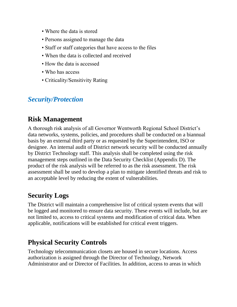- Where the data is stored
- Persons assigned to manage the data
- Staff or staff categories that have access to the files
- When the data is collected and received
- How the data is accessed
- Who has access
- Criticality/Sensitivity Rating

### <span id="page-14-0"></span>*Security/Protection*

### <span id="page-14-1"></span>**Risk Management**

A thorough risk analysis of all Governor Wentworth Regional School District's data networks, systems, policies, and procedures shall be conducted on a biannual basis by an external third party or as requested by the Superintendent, ISO or designee. An internal audit of District network security will be conducted annually by District Technology staff. This analysis shall be completed using the risk management steps outlined in the Data Security Checklist (Appendix D). The product of the risk analysis will be referred to as the risk assessment. The risk assessment shall be used to develop a plan to mitigate identified threats and risk to an acceptable level by reducing the extent of vulnerabilities.

### <span id="page-14-2"></span>**Security Logs**

The District will maintain a comprehensive list of critical system events that will be logged and monitored to ensure data security. These events will include, but are not limited to, access to critical systems and modification of critical data. When applicable, notifications will be established for critical event triggers.

### <span id="page-14-3"></span>**Physical Security Controls**

Technology telecommunication closets are housed in secure locations. Access authorization is assigned through the Director of Technology, Network Administrator and or Director of Facilities. In addition, access to areas in which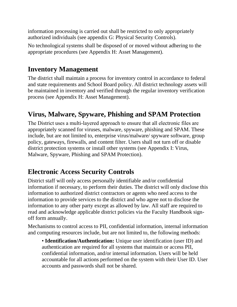information processing is carried out shall be restricted to only appropriately authorized individuals (see appendix G: Physical Security Controls).

No technological systems shall be disposed of or moved without adhering to the appropriate procedures (see Appendix H: Asset Management).

### <span id="page-15-0"></span>**Inventory Management**

The district shall maintain a process for inventory control in accordance to federal and state requirements and School Board policy. All district technology assets will be maintained in inventory and verified through the regular inventory verification process (see Appendix H: Asset Management).

### <span id="page-15-1"></span>**Virus, Malware, Spyware, Phishing and SPAM Protection**

The District uses a multi‐layered approach to ensure that all electronic files are appropriately scanned for viruses, malware, spyware, phishing and SPAM. These include, but are not limited to, enterprise virus/malware/ spyware software, group policy, gateways, firewalls, and content filter. Users shall not turn off or disable district protection systems or install other systems (see Appendix I: Virus, Malware, Spyware, Phishing and SPAM Protection).

### <span id="page-15-2"></span>**Electronic Access Security Controls**

District staff will only access personally identifiable and/or confidential information if necessary, to perform their duties. The district will only disclose this information to authorized district contractors or agents who need access to the information to provide services to the district and who agree not to disclose the information to any other party except as allowed by law. All staff are required to read and acknowledge applicable district policies via the Faculty Handbook signoff form annually.

Mechanisms to control access to PII, confidential information, internal information and computing resources include, but are not limited to, the following methods:

• **Identification/Authentication:** Unique user identification (user ID) and authentication are required for all systems that maintain or access PII, confidential information, and/or internal information. Users will be held accountable for all actions performed on the system with their User ID. User accounts and passwords shall not be shared.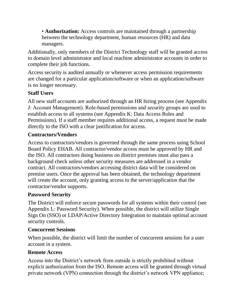• **Authorization:** Access controls are maintained through a partnership between the technology department, human resources (HR) and data managers.

Additionally, only members of the District Technology staff will be granted access to domain level administrator and local machine administrator accounts in order to complete their job functions.

Access security is audited annually or whenever access permission requirements are changed for a particular application/software or when an application/software is no longer necessary.

#### **Staff Users**

All new staff accounts are authorized through an HR hiring process (see Appendix J: Account Management). Role‐based permissions and security groups are used to establish access to all systems (see Appendix K: Data Access Roles and Permissions). If a staff member requires additional access, a request must be made directly to the ISO with a clear justification for access.

#### **Contractors/Vendors**

Access to contractors/vendors is governed through the same process using School Board Policy EHAB. All contractor/vendor access must be approved by HR and the ISO. All contractors doing business on district premises must also pass a background check unless other security measures are addressed in a vendor contract. All contractors/vendors accessing district data will be considered on premise users. Once the approval has been obtained, the technology department will create the account, only granting access to the server/application that the contractor/vendor supports.

#### **Password Security**

The District will enforce secure passwords for all systems within their control (see Appendix L: Password Security). When possible, the district will utilize Single Sign On (SSO) or LDAP/Active Directory Integration to maintain optimal account security controls.

#### **Concurrent Sessions**

When possible, the district will limit the number of concurrent sessions for a user account in a system.

#### **Remote Access**

Access into the District's network from outside is strictly prohibited without explicit authorization from the ISO. Remote access will be granted through virtual private network (VPN) connection through the district's network VPN appliance;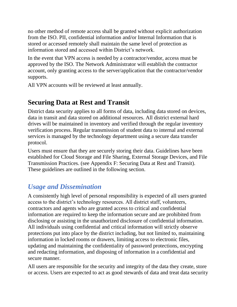no other method of remote access shall be granted without explicit authorization from the ISO. PII, confidential information and/or Internal Information that is stored or accessed remotely shall maintain the same level of protection as information stored and accessed within District's network.

In the event that VPN access is needed by a contractor/vendor, access must be approved by the ISO. The Network Administrator will establish the contractor account, only granting access to the server/application that the contractor/vendor supports.

All VPN accounts will be reviewed at least annually.

### <span id="page-17-0"></span>**Securing Data at Rest and Transit**

District data security applies to all forms of data, including data stored on devices, data in transit and data stored on additional resources. All district external hard drives will be maintained in inventory and verified through the regular inventory verification process. Regular transmission of student data to internal and external services is managed by the technology department using a secure data transfer protocol.

Users must ensure that they are securely storing their data. Guidelines have been established for Cloud Storage and File Sharing, External Storage Devices, and File Transmission Practices. (see Appendix F: Securing Data at Rest and Transit). These guidelines are outlined in the following section.

## <span id="page-17-1"></span>*Usage and Dissemination*

A consistently high level of personal responsibility is expected of all users granted access to the district's technology resources. All district staff, volunteers, contractors and agents who are granted access to critical and confidential information are required to keep the information secure and are prohibited from disclosing or assisting in the unauthorized disclosure of confidential information. All individuals using confidential and critical information will strictly observe protections put into place by the district including, but not limited to, maintaining information in locked rooms or drawers, limiting access to electronic files, updating and maintaining the confidentiality of password protections, encrypting and redacting information, and disposing of information in a confidential and secure manner.

All users are responsible for the security and integrity of the data they create, store or access. Users are expected to act as good stewards of data and treat data security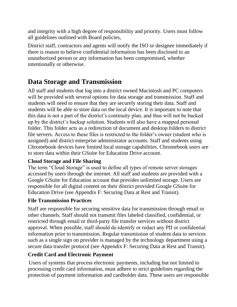and integrity with a high degree of responsibility and priority. Users must follow all guidelines outlined with Board policies,

District staff, contractors and agents will notify the ISO or designee immediately if there is reason to believe confidential information has been disclosed to an unauthorized person or any information has been compromised, whether intentionally or otherwise.

### <span id="page-18-0"></span>**Data Storage and Transmission**

All staff and students that log into a district owned Macintosh and PC computers will be provided with several options for data storage and transmission. Staff and students will need to ensure that they are securely storing their data. Staff and students will be able to store data on the local device. It is important to note that this data is not a part of the district's continuity plan, and thus will not be backed up by the district's backup solution. Students will also have a mapped personal folder. This folder acts as a redirection of document and desktop folders to district file servers. Access to these files is restricted to the folder's owner (student who is assigned) and district enterprise administrator accounts. Staff and students using Chromebook devices have limited local storage capabilities. Chromebook users are to store data within their GSuite for Education Drive account.

#### **Cloud Storage and File Sharing**

The term "Cloud Storage" is used to define all types of remote server storages accessed by users through the internet. All staff and students are provided with a Google GSuite for Education account that provides unlimited storage. Users are responsible for all digital content on their district provided Google GSuite for Education Drive (see Appendix F: Securing Data at Rest and Transit).

#### **File Transmission Practices**

Staff are responsible for securing sensitive data for transmission through email or other channels. Staff should not transmit files labeled classified, confidential, or restricted through email or third-party file transfer services without district approval. When possible, staff should de‐identify or redact any PII or confidential information prior to transmission. Regular transmission of student data to services such as a single sign on provider is managed by the technology department using a secure data transfer protocol (see Appendix F: Securing Data at Rest and Transit).

#### **Credit Card and Electronic Payment**

Users of systems that process electronic payments, including but not limited to processing credit card information, must adhere to strict guidelines regarding the protection of payment information and cardholder data. These users are responsible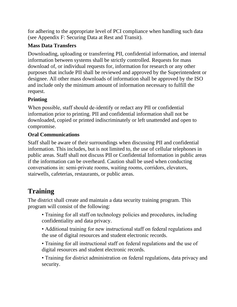for adhering to the appropriate level of PCI compliance when handling such data (see Appendix F: Securing Data at Rest and Transit).

#### **Mass Data Transfers**

Downloading, uploading or transferring PII, confidential information, and internal information between systems shall be strictly controlled. Requests for mass download of, or individual requests for, information for research or any other purposes that include PII shall be reviewed and approved by the Superintendent or designee. All other mass downloads of information shall be approved by the ISO and include only the minimum amount of information necessary to fulfill the request.

#### **Printing**

When possible, staff should de-identify or redact any PII or confidential information prior to printing. PII and confidential information shall not be downloaded, copied or printed indiscriminately or left unattended and open to compromise.

#### **Oral Communications**

Staff shall be aware of their surroundings when discussing PII and confidential information. This includes, but is not limited to, the use of cellular telephones in public areas. Staff shall not discuss PII or Confidential Information in public areas if the information can be overheard. Caution shall be used when conducting conversations in: semi‐private rooms, waiting rooms, corridors, elevators, stairwells, cafeterias, restaurants, or public areas.

## <span id="page-19-0"></span>**Training**

The district shall create and maintain a data security training program. This program will consist of the following:

• Training for all staff on technology policies and procedures, including confidentiality and data privacy.

- Additional training for new instructional staff on federal regulations and the use of digital resources and student electronic records.
- Training for all instructional staff on federal regulations and the use of digital resources and student electronic records.

• Training for district administration on federal regulations, data privacy and security.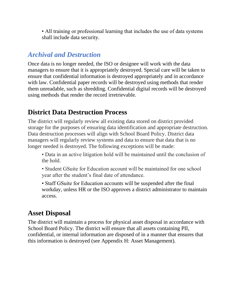• All training or professional learning that includes the use of data systems shall include data security.

### <span id="page-20-0"></span>*Archival and Destruction*

Once data is no longer needed, the ISO or designee will work with the data managers to ensure that it is appropriately destroyed. Special care will be taken to ensure that confidential information is destroyed appropriately and in accordance with law. Confidential paper records will be destroyed using methods that render them unreadable, such as shredding. Confidential digital records will be destroyed using methods that render the record irretrievable.

### <span id="page-20-1"></span>**District Data Destruction Process**

The district will regularly review all existing data stored on district provided storage for the purposes of ensuring data identification and appropriate destruction. Data destruction processes will align with School Board Policy. District data managers will regularly review systems and data to ensure that data that is no longer needed is destroyed. The following exceptions will be made:

• Data in an active litigation hold will be maintained until the conclusion of the hold.

• Student GSuite for Education account will be maintained for one school year after the student's final date of attendance.

• Staff GSuite for Education accounts will be suspended after the final workday, unless HR or the ISO approves a district administrator to maintain access.

### <span id="page-20-2"></span>**Asset Disposal**

The district will maintain a process for physical asset disposal in accordance with School Board Policy. The district will ensure that all assets containing PII, confidential, or internal information are disposed of in a manner that ensures that this information is destroyed (see Appendix H: Asset Management).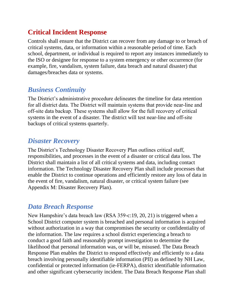### <span id="page-21-0"></span>**Critical Incident Response**

Controls shall ensure that the District can recover from any damage to or breach of critical systems, data, or information within a reasonable period of time. Each school, department, or individual is required to report any instances immediately to the ISO or designee for response to a system emergency or other occurrence (for example, fire, vandalism, system failure, data breach and natural disaster) that damages/breaches data or systems.

### <span id="page-21-1"></span>*Business Continuity*

The District's administrative procedure delineates the timeline for data retention for all district data. The District will maintain systems that provide near‐line and off‐site data backup. These systems shall allow for the full recovery of critical systems in the event of a disaster. The district will test near-line and off-site backups of critical systems quarterly.

### <span id="page-21-2"></span>*Disaster Recovery*

The District's Technology Disaster Recovery Plan outlines critical staff, responsibilities, and processes in the event of a disaster or critical data loss. The District shall maintain a list of all critical systems and data, including contact information. The Technology Disaster Recovery Plan shall include processes that enable the District to continue operations and efficiently restore any loss of data in the event of fire, vandalism, natural disaster, or critical system failure (see Appendix M: Disaster Recovery Plan).

### <span id="page-21-3"></span>*Data Breach Response*

New Hampshire's data breach law (RSA 359-c:19, 20, 21) is triggered when a School District computer system is breached and personal information is acquired without authorization in a way that compromises the security or confidentiality of the information. The law requires a school district experiencing a breach to conduct a good faith and reasonably prompt investigation to determine the likelihood that personal information was, or will be, misused. The Data Breach Response Plan enables the District to respond effectively and efficiently to a data breach involving personally identifiable information (PII) as defined by NH Law, confidential or protected information (ie-FERPA), district identifiable information and other significant cybersecurity incident. The Data Breach Response Plan shall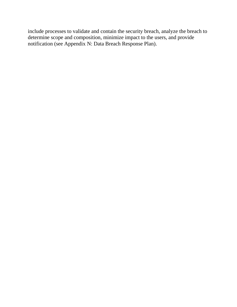include processes to validate and contain the security breach, analyze the breach to determine scope and composition, minimize impact to the users, and provide notification (see Appendix N: Data Breach Response Plan).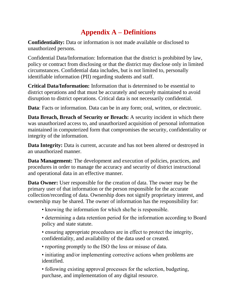### **Appendix A – Definitions**

<span id="page-23-0"></span>**Confidentiality:** Data or information is not made available or disclosed to unauthorized persons.

Confidential Data/Information: Information that the district is prohibited by law, policy or contract from disclosing or that the district may disclose only in limited circumstances. Confidential data includes, but is not limited to, personally identifiable information (PII) regarding students and staff.

**Critical Data/Information:** Information that is determined to be essential to district operations and that must be accurately and securely maintained to avoid disruption to district operations. Critical data is not necessarily confidential.

**Data**: Facts or information. Data can be in any form; oral, written, or electronic.

**Data Breach, Breach of Security or Breach:** A security incident in which there was unauthorized access to, and unauthorized acquisition of personal information maintained in computerized form that compromises the security, confidentiality or integrity of the information.

**Data Integrity:** Data is current, accurate and has not been altered or destroyed in an unauthorized manner.

**Data Management:** The development and execution of policies, practices, and procedures in order to manage the accuracy and security of district instructional and operational data in an effective manner.

**Data Owner:** User responsible for the creation of data. The owner may be the primary user of that information or the person responsible for the accurate collection/recording of data. Ownership does not signify proprietary interest, and ownership may be shared. The owner of information has the responsibility for:

• knowing the information for which she/he is responsible.

• determining a data retention period for the information according to Board policy and state statute.

• ensuring appropriate procedures are in effect to protect the integrity, confidentiality, and availability of the data used or created.

• reporting promptly to the ISO the loss or misuse of data.

• initiating and/or implementing corrective actions when problems are identified.

• following existing approval processes for the selection, budgeting, purchase, and implementation of any digital resource.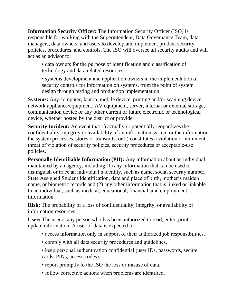**Information Security Officer:** The Information Security Officer (ISO) is responsible for working with the Superintendent, Data Governance Team, data managers, data owners, and users to develop and implement prudent security policies, procedures, and controls. The ISO will oversee all security audits and will act as an advisor to:

• data owners for the purpose of identification and classification of technology and data related resources.

• systems development and application owners in the implementation of security controls for information on systems, from the point of system design through testing and production implementation.

**Systems:** Any computer, laptop, mobile device, printing and/or scanning device, network appliance/equipment, AV equipment, server, internal or external storage, communication device or any other current or future electronic or technological device, whether hosted by the district or provider.

**Security Incident:** An event that 1) actually or potentially jeopardizes the confidentiality, integrity or availability of an information system or the information the system processes, stores or transmits, or 2) constitutes a violation or imminent threat of violation of security policies, security procedures or acceptable‐use policies.

**Personally Identifiable Information (PII):** Any information about an individual maintained by an agency, including (1) any information that can be used to distinguish or trace an individual's identity, such as name, social security number, State Assigned Student Identification, date and place of birth, mother's maiden name, or biometric records and (2) any other information that is linked or linkable to an individual, such as medical, educational, financial, and employment information.

**Risk:** The probability of a loss of confidentiality, integrity, or availability of information resources.

**User:** The user is any person who has been authorized to read, enter, print or update information. A user of data is expected to:

- access information only in support of their authorized job responsibilities.
- comply with all data security procedures and guidelines.
- keep personal authentication confidential (user IDs, passwords, secure cards, PINs, access codes).
- report promptly to the ISO the loss or misuse of data.
- follow corrective actions when problems are identified.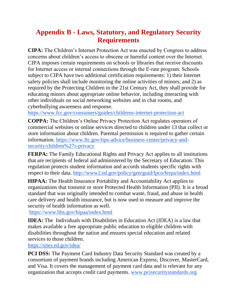### <span id="page-25-0"></span>**Appendix B - Laws, Statutory, and Regulatory Security Requirements**

**CIPA:** The Children's Internet Protection Act was enacted by Congress to address concerns about children's access to obscene or harmful content over the Internet. CIPA imposes certain requirements on schools or libraries that receive discounts for Internet access or internal connections through the E‐rate program. Schools subject to CIPA have two additional certification requirements: 1) their Internet safety policies shall include monitoring the online activities of minors; and 2) as required by the Protecting Children in the 21st Century Act, they shall provide for educating minors about appropriate online behavior, including interacting with other individuals on social networking websites and in chat rooms, and cyberbullying awareness and response.

<https://www.fcc.gov/consumers/guides/childrens-internet-protection-act>

**COPPA:** The Children's Online Privacy Protection Act regulates operators of commercial websites or online services directed to children under 13 that collect or store information about children. Parental permission is required to gather certain information. [https://www.ftc.gov/tips-advice/business-center/privacy-and](https://www.ftc.gov/tips-advice/business-center/privacy-and-security/children%27s-privacy)[security/children%27s-privacy](https://www.ftc.gov/tips-advice/business-center/privacy-and-security/children%27s-privacy)

**FERPA:** The Family Educational Rights and Privacy Act applies to all institutions that are recipients of federal aid administered by the Secretary of Education. This regulation protects student information and accords students specific rights with respect to their data.<http://www2.ed.gov/policy/gen/guid/fpco/ferpa/index.html>

**HIPAA:** The Health Insurance Portability and Accountability Act applies to organizations that transmit or store Protected Health Information (PII). It is a broad standard that was originally intended to combat waste, fraud, and abuse in health care delivery and health insurance, but is now used to measure and improve the security of health information as well.

<https://www.hhs.gov/hipaa/index.html>

**IDEA:** The Individuals with Disabilities in Education Act (IDEA) is a law that makes available a free appropriate public education to eligible children with disabilities throughout the nation and ensures special education and related services to those children.

<https://sites.ed.gov/idea/>

**PCI DSS:** The Payment Card Industry Data Security Standard was created by a consortium of payment brands including American Express, Discover, MasterCard, and Visa. It covers the management of payment card data and is relevant for any organization that accepts credit card payments. [www.pcisecuritystandards.org](http://www.pcisecuritystandards.org/)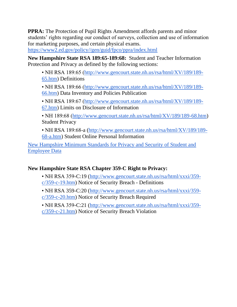**PPRA:** The Protection of Pupil Rights Amendment affords parents and minor students' rights regarding our conduct of surveys, collection and use of information for marketing purposes, and certain physical exams.

[https://www2.ed.gov/policy//gen/guid/fpco/ppra/index.html](https://www2.ed.gov/policy/gen/guid/fpco/ppra/index.html)

**New Hampshire State RSA 189:65-189:68:** Student and Teacher Information Protection and Privacy as defined by the following sections:

- NH RSA 189:65 [\(http://www.gencourt.state.nh.us/rsa/html/XV/189/189-](http://www.gencourt.state.nh.us/rsa/html/XV/189/189-65.htm) [65.htm\)](http://www.gencourt.state.nh.us/rsa/html/XV/189/189-65.htm) Definitions
- NH RSA 189:66 [\(http://www.gencourt.state.nh.us/rsa/html/XV/189/189-](http://www.gencourt.state.nh.us/rsa/html/XV/189/189-66.htm) [66.htm\)](http://www.gencourt.state.nh.us/rsa/html/XV/189/189-66.htm) Data Inventory and Policies Publication
- NH RSA 189:67 [\(http://www.gencourt.state.nh.us/rsa/html/XV/189/189-](http://www.gencourt.state.nh.us/rsa/html/XV/189/189-67.htm) [67.htm\)](http://www.gencourt.state.nh.us/rsa/html/XV/189/189-67.htm) Limits on Disclosure of Information
- NH 189:68 [\(http://www.gencourt.state.nh.us/rsa/html/XV/189/189-68.htm\)](http://www.gencourt.state.nh.us/rsa/html/XV/189/189-68.htm) Student Privacy
- NH RSA 189:68-a [\(http://www.gencourt.state.nh.us/rsa/html/XV/189/189-](http://www.gencourt.state.nh.us/rsa/html/XV/189/189-68-a.htm) [68-a.htm\)](http://www.gencourt.state.nh.us/rsa/html/XV/189/189-68-a.htm) Student Online Personal Information

[New Hampshire Minimum Standards for Privacy and Security of Student and](https://docs.google.com/document/d/15lhhzvzxwSViQ-Nk0LiknOlxZkrmcxrMJ7OmOlvrFA8/edit?usp=sharing)  [Employee Data](https://docs.google.com/document/d/15lhhzvzxwSViQ-Nk0LiknOlxZkrmcxrMJ7OmOlvrFA8/edit?usp=sharing)

#### **New Hampshire State RSA Chapter 359-C Right to Privacy:**

- NH RSA 359-C:19 [\(http://www.gencourt.state.nh.us/rsa/html/xxxi/359](http://www.gencourt.state.nh.us/rsa/html/xxxi/359-c/359-c-19.htm) [c/359-c-19.htm\)](http://www.gencourt.state.nh.us/rsa/html/xxxi/359-c/359-c-19.htm) Notice of Security Breach - Definitions
- NH RSA 359-C:20 [\(http://www.gencourt.state.nh.us/rsa/html/xxxi/359](http://www.gencourt.state.nh.us/rsa/html/xxxi/359-c/359-c-20.htm) [c/359-c-20.htm\)](http://www.gencourt.state.nh.us/rsa/html/xxxi/359-c/359-c-20.htm) Notice of Security Breach Required

• NH RSA 359-C:21 [\(http://www.gencourt.state.nh.us/rsa/html/xxxi/359](http://www.gencourt.state.nh.us/rsa/html/xxxi/359-c/359-c-21.htm) [c/359-c-21.htm\)](http://www.gencourt.state.nh.us/rsa/html/xxxi/359-c/359-c-21.htm) Notice of Security Breach Violation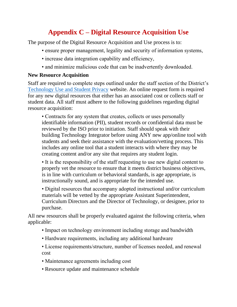## **Appendix C – Digital Resource Acquisition Use**

<span id="page-27-0"></span>The purpose of the Digital Resource Acquisition and Use process is to:

- ensure proper management, legality and security of information systems,
- increase data integration capability and efficiency,
- and minimize malicious code that can be inadvertently downloaded.

#### **New Resource Acquisition**

Staff are required to complete steps outlined under the staff section of the District's [Technology Use and Student Privacy](https://www.gwrsd.org/technology-use-and-student-privacy.html) website. An online request form is required for any new digital resources that either has an associated cost or collects staff or student data. All staff must adhere to the following guidelines regarding digital resource acquisition:

• Contracts for any system that creates, collects or uses personally identifiable information (PII), student records or confidential data must be reviewed by the ISO prior to initiation. Staff should speak with their building Technology Integrator before using ANY new app/online tool with students and seek their assistance with the evaluation/vetting process. This includes any online tool that a student interacts with where they may be creating content and/or any site that requires any student login.

• It is the responsibility of the staff requesting to use new digital content to properly vet the resource to ensure that it meets district business objectives, is in line with curriculum or behavioral standards, is age appropriate, is instructionally sound, and is appropriate for the intended use.

• Digital resources that accompany adopted instructional and/or curriculum materials will be vetted by the appropriate Assistant Superintendent, Curriculum Directors and the Director of Technology, or designee, prior to purchase.

All new resources shall be properly evaluated against the following criteria, when applicable:

- Impact on technology environment including storage and bandwidth
- Hardware requirements, including any additional hardware

• License requirements/structure, number of licenses needed, and renewal cost

- Maintenance agreements including cost
- Resource update and maintenance schedule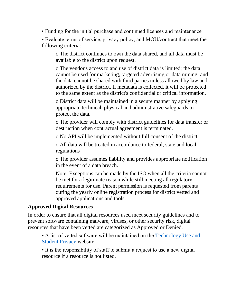• Funding for the initial purchase and continued licenses and maintenance

• Evaluate terms of service, privacy policy, and MOU/contract that meet the following criteria:

o The district continues to own the data shared, and all data must be available to the district upon request.

o The vendor's access to and use of district data is limited; the data cannot be used for marketing, targeted advertising or data mining; and the data cannot be shared with third parties unless allowed by law and authorized by the district. If metadata is collected, it will be protected to the same extent as the district's confidential or critical information.

o District data will be maintained in a secure manner by applying appropriate technical, physical and administrative safeguards to protect the data.

o The provider will comply with district guidelines for data transfer or destruction when contractual agreement is terminated.

o No API will be implemented without full consent of the district.

o All data will be treated in accordance to federal, state and local regulations

o The provider assumes liability and provides appropriate notification in the event of a data breach.

Note: Exceptions can be made by the ISO when all the criteria cannot be met for a legitimate reason while still meeting all regulatory requirements for use. Parent permission is requested from parents during the yearly online registration process for district vetted and approved applications and tools.

#### **Approved Digital Resources**

In order to ensure that all digital resources used meet security guidelines and to prevent software containing malware, viruses, or other security risk, digital resources that have been vetted are categorized as Approved or Denied.

• A list of vetted software will be maintained on the [Technology Use and](https://www.gwrsd.org/technology-use-and-student-privacy.html)  [Student Privacy](https://www.gwrsd.org/technology-use-and-student-privacy.html) website.

• It is the responsibility of staff to submit a request to use a new digital resource if a resource is not listed.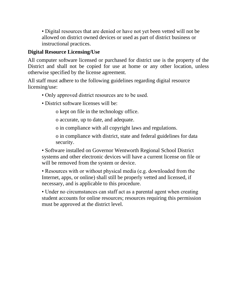• Digital resources that are denied or have not yet been vetted will not be allowed on district owned devices or used as part of district business or instructional practices.

#### **Digital Resource Licensing/Use**

All computer software licensed or purchased for district use is the property of the District and shall not be copied for use at home or any other location, unless otherwise specified by the license agreement.

All staff must adhere to the following guidelines regarding digital resource licensing/use:

- Only approved district resources are to be used.
- District software licenses will be:

o kept on file in the technology office.

o accurate, up to date, and adequate.

o in compliance with all copyright laws and regulations.

o in compliance with district, state and federal guidelines for data security.

• Software installed on Governor Wentworth Regional School District systems and other electronic devices will have a current license on file or will be removed from the system or device.

• Resources with or without physical media (e.g. downloaded from the Internet, apps, or online) shall still be properly vetted and licensed, if necessary, and is applicable to this procedure.

• Under no circumstances can staff act as a parental agent when creating student accounts for online resources; resources requiring this permission must be approved at the district level.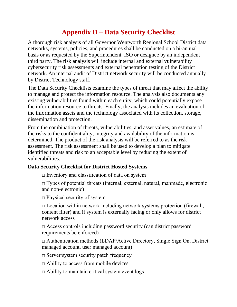### **Appendix D – Data Security Checklist**

<span id="page-30-0"></span>A thorough risk analysis of all Governor Wentworth Regional School District data networks, systems, policies, and procedures shall be conducted on a bi-annual basis or as requested by the Superintendent, ISO or designee by an independent third party. The risk analysis will include internal and external vulnerability cybersecurity risk assessments and external penetration testing of the District network. An internal audit of District network security will be conducted annually by District Technology staff.

The Data Security Checklists examine the types of threat that may affect the ability to manage and protect the information resource. The analysis also documents any existing vulnerabilities found within each entity, which could potentially expose the information resource to threats. Finally, the analysis includes an evaluation of the information assets and the technology associated with its collection, storage, dissemination and protection.

From the combination of threats, vulnerabilities, and asset values, an estimate of the risks to the confidentiality, integrity and availability of the information is determined. The product of the risk analysis will be referred to as the risk assessment. The risk assessment shall be used to develop a plan to mitigate identified threats and risk to an acceptable level by reducing the extent of vulnerabilities.

#### **Data Security Checklist for District Hosted Systems**

 $\Box$  Inventory and classification of data on system

 $\Box$  Types of potential threats (internal, external, natural, manmade, electronic and non-electronic)

 $\Box$  Physical security of system

 $\Box$  Location within network including network systems protection (firewall, content filter) and if system is externally facing or only allows for district network access

 $\Box$  Access controls including password security (can district password requirements be enforced)

□ Authentication methods (LDAP/Active Directory, Single Sign On, District managed account, user managed account)

 $\square$  Server/system security patch frequency

□ Ability to access from mobile devices

 $\Box$  Ability to maintain critical system event logs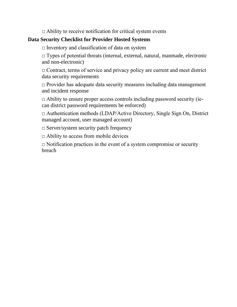$\Box$  Ability to receive notification for critical system events

#### **Data Security Checklist for Provider Hosted Systems**

 $\Box$  Inventory and classification of data on system

 $\Box$  Types of potential threats (internal, external, natural, manmade, electronic and non-electronic)

 $\Box$  Contract, terms of service and privacy policy are current and meet district data security requirements

 $\Box$  Provider has adequate data security measures including data management and incident response

 $\Box$  Ability to ensure proper access controls including password security (iecan district password requirements be enforced)

□ Authentication methods (LDAP/Active Directory, Single Sign On, District managed account, user managed account)

□ Server/system security patch frequency

 $\Box$  Ability to access from mobile devices

 $\Box$  Notification practices in the event of a system compromise or security breach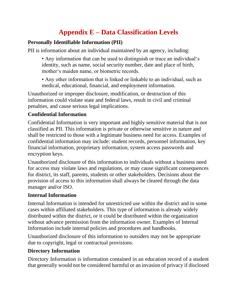## **Appendix E – Data Classification Levels**

#### <span id="page-32-0"></span>**Personally Identifiable Information (PII)**

PII is information about an individual maintained by an agency, including:

• Any information that can be used to distinguish or trace an individual's identity, such as name, social security number, date and place of birth, mother's maiden name, or biometric records.

• Any other information that is linked or linkable to an individual, such as medical, educational, financial, and employment information.

Unauthorized or improper disclosure, modification, or destruction of this information could violate state and federal laws, result in civil and criminal penalties, and cause serious legal implications.

#### **Confidential Information**

Confidential Information is very important and highly sensitive material that is not classified as PII. This information is private or otherwise sensitive in nature and shall be restricted to those with a legitimate business need for access. Examples of confidential information may include: student records, personnel information, key financial information, proprietary information, system access passwords and encryption keys.

Unauthorized disclosure of this information to individuals without a business need for access may violate laws and regulations, or may cause significant consequences for district, its staff, parents, students or other stakeholders. Decisions about the provision of access to this information shall always be cleared through the data manager and/or ISO.

#### **Internal Information**

Internal Information is intended for unrestricted use within the district and in some cases within affiliated stakeholders. This type of information is already widely distributed within the district, or it could be distributed within the organization without advance permission from the information owner. Examples of Internal Information include internal policies and procedures and handbooks.

Unauthorized disclosure of this information to outsiders may not be appropriate due to copyright, legal or contractual provisions.

#### **Directory Information**

Directory Information is information contained in an education record of a student that generally would not be considered harmful or an invasion of privacy if disclosed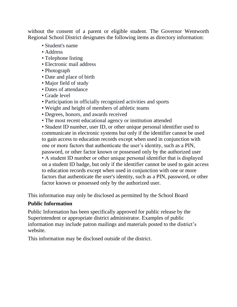without the consent of a parent or eligible student. The Governor Wentworth Regional School District designates the following items as directory information:

- Student's name
- Address
- Telephone listing
- Electronic mail address
- Photograph
- Date and place of birth
- Major field of study
- Dates of attendance
- Grade level
- Participation in officially recognized activities and sports
- Weight and height of members of athletic teams
- Degrees, honors, and awards received
- The most recent educational agency or institution attended

• Student ID number, user ID, or other unique personal identifier used to communicate in electronic systems but only if the identifier cannot be used to gain access to education records except when used in conjunction with one or more factors that authenticate the user's identity, such as a PIN, password, or other factor known or possessed only by the authorized user • A student ID number or other unique personal identifier that is displayed on a student ID badge, but only if the identifier cannot be used to gain access to education records except when used in conjunction with one or more factors that authenticate the user's identity, such as a PIN, password, or other factor known or possessed only by the authorized user.

This information may only be disclosed as permitted by the School Board

#### **Public Information**

Public Information has been specifically approved for public release by the Superintendent or appropriate district administrator. Examples of public information may include patron mailings and materials posted to the district's website.

This information may be disclosed outside of the district.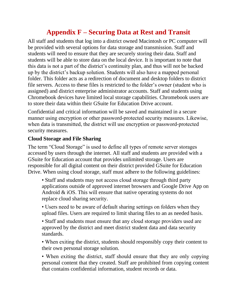### **Appendix F – Securing Data at Rest and Transit**

<span id="page-34-0"></span>All staff and students that log into a district owned Macintosh or PC computer will be provided with several options for data storage and transmission. Staff and students will need to ensure that they are securely storing their data. Staff and students will be able to store data on the local device. It is important to note that this data is not a part of the district's continuity plan, and thus will not be backed up by the district's backup solution. Students will also have a mapped personal folder. This folder acts as a redirection of document and desktop folders to district file servers. Access to these files is restricted to the folder's owner (student who is assigned) and district enterprise administrator accounts. Staff and students using Chromebook devices have limited local storage capabilities. Chromebook users are to store their data within their GSuite for Education Drive account.

Confidential and critical information will be saved and maintained in a secure manner using encryption or other password‐protected security measures. Likewise, when data is transmitted, the district will use encryption or password-protected security measures.

#### **Cloud Storage and File Sharing**

The term "Cloud Storage" is used to define all types of remote server storages accessed by users through the internet. All staff and students are provided with a GSuite for Education account that provides unlimited storage. Users are responsible for all digital content on their district provided GSuite for Education Drive. When using cloud storage, staff must adhere to the following guidelines:

• Staff and students may not access cloud storage through third party applications outside of approved internet browsers and Google Drive App on Android & iOS. This will ensure that native operating systems do not replace cloud sharing security.

• Users need to be aware of default sharing settings on folders when they upload files. Users are required to limit sharing files to an as needed basis.

• Staff and students must ensure that any cloud storage providers used are approved by the district and meet district student data and data security standards.

• When exiting the district, students should responsibly copy their content to their own personal storage solution.

• When exiting the district, staff should ensure that they are only copying personal content that they created. Staff are prohibited from copying content that contains confidential information, student records or data.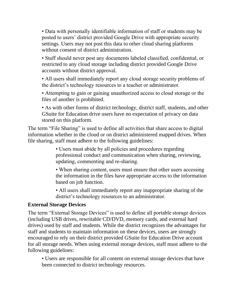• Data with personally identifiable information of staff or students may be posted to users' district provided Google Drive with appropriate security settings. Users may not post this data to other cloud sharing platforms without consent of district administration.

• Staff should never post any documents labeled classified, confidential, or restricted to any cloud storage including district provided Google Drive accounts without district approval.

• All users shall immediately report any cloud storage security problems of the district's technology resources to a teacher or administrator.

• Attempting to gain or gaining unauthorized access to cloud storage or the files of another is prohibited.

• As with other forms of district technology, district staff, students, and other GSuite for Education drive users have no expectation of privacy on data stored on this platform.

The term "File Sharing" is used to define all activities that share access to digital information whether in the cloud or on district administered mapped drives. When file sharing, staff must adhere to the following guidelines:

> • Users must abide by all policies and procedures regarding professional conduct and communication when sharing, reviewing, updating, commenting and re‐sharing.

• When sharing content, users must ensure that other users accessing the information in the files have appropriate access to the information based on job function.

• All users shall immediately report any inappropriate sharing of the district's technology resources to an administrator.

#### **External Storage Devices**

The term "External Storage Devices" is used to define all portable storage devices (including USB drives, rewritable CD/DVD, memory cards, and external hard drives) used by staff and students. While the district recognizes the advantages for staff and students to maintain information on these devices, users are strongly encouraged to rely on their district provided GSuite for Education Drive account for all storage needs. When using external storage devices, staff must adhere to the following guidelines:

• Users are responsible for all content on external storage devices that have been connected to district technology resources.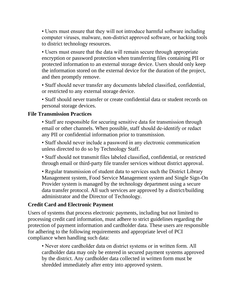• Users must ensure that they will not introduce harmful software including computer viruses, malware, non‐district approved software, or hacking tools to district technology resources.

• Users must ensure that the data will remain secure through appropriate encryption or password protection when transferring files containing PII or protected information to an external storage device. Users should only keep the information stored on the external device for the duration of the project, and then promptly remove.

• Staff should never transfer any documents labeled classified, confidential, or restricted to any external storage device.

• Staff should never transfer or create confidential data or student records on personal storage devices.

#### **File Transmission Practices**

• Staff are responsible for securing sensitive data for transmission through email or other channels. When possible, staff should de‐identify or redact any PII or confidential information prior to transmission.

• Staff should never include a password in any electronic communication unless directed to do so by Technology Staff.

• Staff should not transmit files labeled classified, confidential, or restricted through email or third-party file transfer services without district approval.

• Regular transmission of student data to services such the District Library Management system, Food Service Management system and Single Sign-On Provider system is managed by the technology department using a secure data transfer protocol. All such services are approved by a district/building administrator and the Director of Technology.

#### **Credit Card and Electronic Payment**

Users of systems that process electronic payments, including but not limited to processing credit card information, must adhere to strict guidelines regarding the protection of payment information and cardholder data. These users are responsible for adhering to the following requirements and appropriate level of PCI compliance when handling such data:

• Never store cardholder data on district systems or in written form. All cardholder data may only be entered in secured payment systems approved by the district. Any cardholder data collected in written form must be shredded immediately after entry into approved system.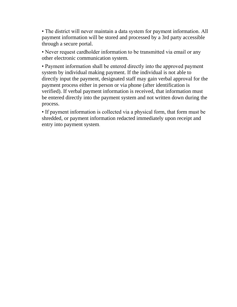• The district will never maintain a data system for payment information. All payment information will be stored and processed by a 3rd party accessible through a secure portal.

• Never request cardholder information to be transmitted via email or any other electronic communication system.

• Payment information shall be entered directly into the approved payment system by individual making payment. If the individual is not able to directly input the payment, designated staff may gain verbal approval for the payment process either in person or via phone (after identification is verified). If verbal payment information is received, that information must be entered directly into the payment system and not written down during the process.

• If payment information is collected via a physical form, that form must be shredded, or payment information redacted immediately upon receipt and entry into payment system.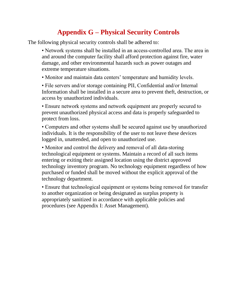### **Appendix G – Physical Security Controls**

<span id="page-38-0"></span>The following physical security controls shall be adhered to:

• Network systems shall be installed in an access-controlled area. The area in and around the computer facility shall afford protection against fire, water damage, and other environmental hazards such as power outages and extreme temperature situations.

• Monitor and maintain data centers' temperature and humidity levels.

• File servers and/or storage containing PII, Confidential and/or Internal Information shall be installed in a secure area to prevent theft, destruction, or access by unauthorized individuals.

• Ensure network systems and network equipment are properly secured to prevent unauthorized physical access and data is properly safeguarded to protect from loss.

• Computers and other systems shall be secured against use by unauthorized individuals. It is the responsibility of the user to not leave these devices logged in, unattended, and open to unauthorized use.

• Monitor and control the delivery and removal of all data‐storing technological equipment or systems. Maintain a record of all such items entering or exiting their assigned location using the district approved technology inventory program. No technology equipment regardless of how purchased or funded shall be moved without the explicit approval of the technology department.

• Ensure that technological equipment or systems being removed for transfer to another organization or being designated as surplus property is appropriately sanitized in accordance with applicable policies and procedures (see Appendix I: Asset Management).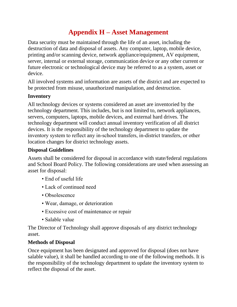### **Appendix H – Asset Management**

<span id="page-39-0"></span>Data security must be maintained through the life of an asset, including the destruction of data and disposal of assets. Any computer, laptop, mobile device, printing and/or scanning device, network appliance/equipment, AV equipment, server, internal or external storage, communication device or any other current or future electronic or technological device may be referred to as a system, asset or device.

All involved systems and information are assets of the district and are expected to be protected from misuse, unauthorized manipulation, and destruction.

#### **Inventory**

All technology devices or systems considered an asset are inventoried by the technology department. This includes, but is not limited to, network appliances, servers, computers, laptops, mobile devices, and external hard drives. The technology department will conduct annual inventory verification of all district devices. It is the responsibility of the technology department to update the inventory system to reflect any in‐school transfers, in‐district transfers, or other location changes for district technology assets.

#### **Disposal Guidelines**

Assets shall be considered for disposal in accordance with state/federal regulations and School Board Policy. The following considerations are used when assessing an asset for disposal:

- End of useful life
- Lack of continued need
- Obsolescence
- Wear, damage, or deterioration
- Excessive cost of maintenance or repair
- Salable value

The Director of Technology shall approve disposals of any district technology asset.

#### **Methods of Disposal**

Once equipment has been designated and approved for disposal (does not have salable value), it shall be handled according to one of the following methods. It is the responsibility of the technology department to update the inventory system to reflect the disposal of the asset.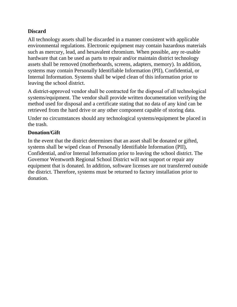#### **Discard**

All technology assets shall be discarded in a manner consistent with applicable environmental regulations. Electronic equipment may contain hazardous materials such as mercury, lead, and hexavalent chromium. When possible, any re-usable hardware that can be used as parts to repair and/or maintain district technology assets shall be removed (motherboards, screens, adapters, memory). In addition, systems may contain Personally Identifiable Information (PII), Confidential, or Internal Information. Systems shall be wiped clean of this information prior to leaving the school district.

A district‐approved vendor shall be contracted for the disposal of all technological systems/equipment. The vendor shall provide written documentation verifying the method used for disposal and a certificate stating that no data of any kind can be retrieved from the hard drive or any other component capable of storing data.

Under no circumstances should any technological systems/equipment be placed in the trash.

#### **Donation/Gift**

In the event that the district determines that an asset shall be donated or gifted, systems shall be wiped clean of Personally Identifiable Information (PII), Confidential, and/or Internal Information prior to leaving the school district. The Governor Wentworth Regional School District will not support or repair any equipment that is donated. In addition, software licenses are not transferred outside the district. Therefore, systems must be returned to factory installation prior to donation.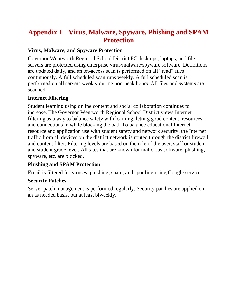### <span id="page-41-0"></span>**Appendix I – Virus, Malware, Spyware, Phishing and SPAM Protection**

#### **Virus, Malware, and Spyware Protection**

Governor Wentworth Regional School District PC desktops, laptops, and file servers are protected using enterprise virus/malware/spyware software. Definitions are updated daily, and an on‐access scan is performed on all "read" files continuously. A full scheduled scan runs weekly. A full scheduled scan is performed on all servers weekly during non‐peak hours. All files and systems are scanned.

#### **Internet Filtering**

Student learning using online content and social collaboration continues to increase. The Governor Wentworth Regional School District views Internet filtering as a way to balance safety with learning, letting good content, resources, and connections in while blocking the bad. To balance educational Internet resource and application use with student safety and network security, the Internet traffic from all devices on the district network is routed through the district firewall and content filter. Filtering levels are based on the role of the user, staff or student and student grade level. All sites that are known for malicious software, phishing, spyware, etc. are blocked.

#### **Phishing and SPAM Protection**

Email is filtered for viruses, phishing, spam, and spoofing using Google services.

#### **Security Patches**

Server patch management is performed regularly. Security patches are applied on an as needed basis, but at least biweekly.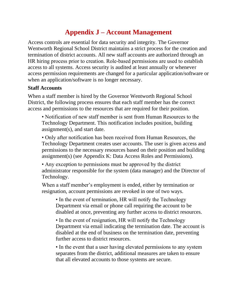### **Appendix J – Account Management**

<span id="page-42-0"></span>Access controls are essential for data security and integrity. The Governor Wentworth Regional School District maintains a strict process for the creation and termination of district accounts. All new staff accounts are authorized through an HR hiring process prior to creation. Role‐based permissions are used to establish access to all systems. Access security is audited at least annually or whenever access permission requirements are changed for a particular application/software or when an application/software is no longer necessary.

#### **Staff Accounts**

When a staff member is hired by the Governor Wentworth Regional School District, the following process ensures that each staff member has the correct access and permissions to the resources that are required for their position.

• Notification of new staff member is sent from Human Resources to the Technology Department. This notification includes position, building assignment(s), and start date.

• Only after notification has been received from Human Resources, the Technology Department creates user accounts. The user is given access and permissions to the necessary resources based on their position and building assignment(s) (see Appendix K: Data Access Roles and Permissions).

• Any exception to permissions must be approved by the district administrator responsible for the system (data manager) and the Director of Technology.

When a staff member's employment is ended, either by termination or resignation, account permissions are revoked in one of two ways.

• In the event of termination, HR will notify the Technology Department via email or phone call requiring the account to be disabled at once, preventing any further access to district resources.

• In the event of resignation, HR will notify the Technology Department via email indicating the termination date. The account is disabled at the end of business on the termination date, preventing further access to district resources.

• In the event that a user having elevated permissions to any system separates from the district, additional measures are taken to ensure that all elevated accounts to those systems are secure.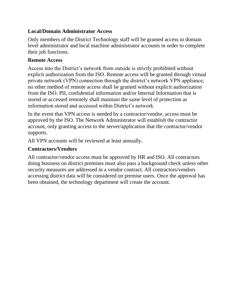#### **Local/Domain Administrator Access**

Only members of the District Technology staff will be granted access to domain level administrator and local machine administrator accounts in order to complete their job functions.

#### **Remote Access**

Access into the District's network from outside is strictly prohibited without explicit authorization from the ISO. Remote access will be granted through virtual private network (VPN) connection through the district's network VPN appliance; no other method of remote access shall be granted without explicit authorization from the ISO. PII, confidential information and/or Internal Information that is stored or accessed remotely shall maintain the same level of protection as information stored and accessed within District's network.

In the event that VPN access is needed by a contractor/vendor, access must be approved by the ISO. The Network Administrator will establish the contractor account, only granting access to the server/application that the contractor/vendor supports.

All VPN accounts will be reviewed at least annually.

#### **Contractors/Vendors**

All contractor/vendor access must be approved by HR and ISO. All contractors doing business on district premises must also pass a background check unless other security measures are addressed in a vendor contract. All contractors/vendors accessing district data will be considered on premise users. Once the approval has been obtained, the technology department will create the account.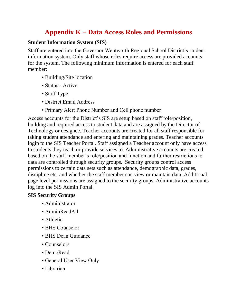### **Appendix K – Data Access Roles and Permissions**

#### <span id="page-44-0"></span>**Student Information System (SIS)**

Staff are entered into the Governor Wentworth Regional School District's student information system. Only staff whose roles require access are provided accounts for the system. The following minimum information is entered for each staff member:

- Building/Site location
- Status Active
- Staff Type
- District Email Address
- Primary Alert Phone Number and Cell phone number

Access accounts for the District's SIS are setup based on staff role/position, building and required access to student data and are assigned by the Director of Technology or designee. Teacher accounts are created for all staff responsible for taking student attendance and entering and maintaining grades. Teacher accounts login to the SIS Teacher Portal. Staff assigned a Teacher account only have access to students they teach or provide services to. Administrative accounts are created based on the staff member's role/position and function and further restrictions to data are controlled through security groups. Security groups control access permissions to certain data sets such as attendance, demographic data, grades, discipline etc. and whether the staff member can view or maintain data. Additional page level permissions are assigned to the security groups. Administrative accounts log into the SIS Admin Portal.

#### **SIS Security Groups**

- Administrator
- AdminReadAll
- Athletic
- BHS Counselor
- BHS Dean Guidance
- Counselors
- DemoRead
- General User View Only
- Librarian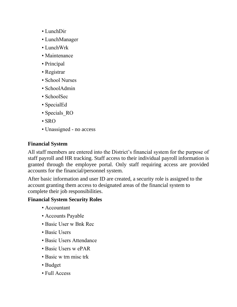- LunchDir
- LunchManager
- LunchWrk
- Maintenance
- Principal
- Registrar
- School Nurses
- SchoolAdmin
- SchoolSec
- SpecialEd
- Specials RO
- SRO
- Unassigned no access

#### **Financial System**

All staff members are entered into the District's financial system for the purpose of staff payroll and HR tracking. Staff access to their individual payroll information is granted through the employee portal. Only staff requiring access are provided accounts for the financial/personnel system.

After basic information and user ID are created, a security role is assigned to the account granting them access to designated areas of the financial system to complete their job responsibilities.

#### **Financial System Security Roles**

- Accountant
- Accounts Payable
- Basic User w Bnk Rec
- Basic Users
- Basic Users Attendance
- Basic Users w ePAR
- Basic w trn misc trk
- Budget
- Full Access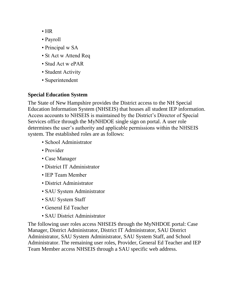- HR
- Payroll
- Principal w SA
- St Act w Attend Req
- Stud Act w ePAR
- Student Activity
- Superintendent

#### **Special Education System**

The State of New Hampshire provides the District access to the NH Special Education Information System (NHSEIS) that houses all student IEP information. Access accounts to NHSEIS is maintained by the District's Director of Special Services office through the MyNHDOE single sign on portal. A user role determines the user's authority and applicable permissions within the NHSEIS system. The established roles are as follows:

- School Administrator
- Provider
- Case Manager
- District IT Administrator
- IEP Team Member
- District Administrator
- SAU System Administrator
- SAU System Staff
- General Ed Teacher
- SAU District Administrator

The following user roles access NHSEIS through the MyNHDOE portal: Case Manager, District Administrator, District IT Administrator, SAU District Administrator, SAU System Administrator, SAU System Staff, and School Administrator. The remaining user roles, Provider, General Ed Teacher and IEP Team Member access NHSEIS through a SAU specific web address.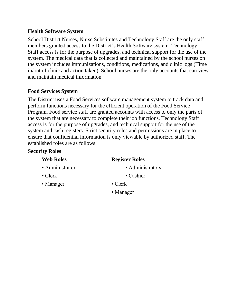#### **Health Software System**

School District Nurses, Nurse Substitutes and Technology Staff are the only staff members granted access to the District's Health Software system. Technology Staff access is for the purpose of upgrades, and technical support for the use of the system. The medical data that is collected and maintained by the school nurses on the system includes immunizations, conditions, medications, and clinic logs (Time in/out of clinic and action taken). School nurses are the only accounts that can view and maintain medical information.

#### **Food Services System**

The District uses a Food Services software management system to track data and perform functions necessary for the efficient operation of the Food Service Program. Food service staff are granted accounts with access to only the parts of the system that are necessary to complete their job functions. Technology Staff access is for the purpose of upgrades, and technical support for the use of the system and cash registers. Strict security roles and permissions are in place to ensure that confidential information is only viewable by authorized staff. The established roles are as follows:

#### **Security Roles**

#### **Web Roles Register Roles**

- 
- 
- Manager Clerk
- Administrator Administrators
- Clerk Cashier
	-
	- Manager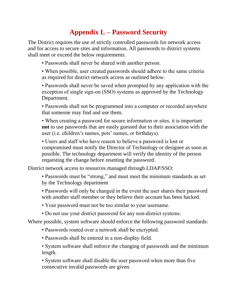### **Appendix L – Password Security**

<span id="page-48-0"></span>The District requires the use of strictly controlled passwords for network access and for access to secure sites and information. All passwords to district systems shall meet or exceed the below requirements.

• Passwords shall never be shared with another person.

• When possible, user created passwords should adhere to the same criteria as required for district network access as outlined below.

• Passwords shall never be saved when prompted by any application with the exception of single sign-on (SSO) systems as approved by the Technology Department.

• Passwords shall not be programmed into a computer or recorded anywhere that someone may find and use them.

• When creating a password for secure information or sites, it is important **not** to use passwords that are easily guessed due to their association with the user (i.e. children's names, pets' names, or birthdays).

• Users and staff who have reason to believe a password is lost or compromised must notify the Director of Technology or designee as soon as possible. The technology department will verify the identity of the person requesting the change before resetting the password.

District network access to resources managed through LDAP/SSO:

• Passwords must be "strong," and must meet the minimum standards as set by the Technology department

• Passwords will only be changed in the event the user shares their password with another staff member or they believe their account has been hacked.

- Your password must not be too similar to your username.
- Do not use your district password for any non-district systems.

Where possible, system software should enforce the following password standards:

- Passwords routed over a network shall be encrypted.
- Passwords shall be entered in a non-display field.

• System software shall enforce the changing of passwords and the minimum length.

• System software shall disable the user password when more than five consecutive invalid passwords are given.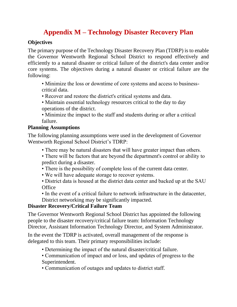### **Appendix M – Technology Disaster Recovery Plan**

#### <span id="page-49-0"></span>**Objectives**

The primary purpose of the Technology Disaster Recovery Plan (TDRP) is to enable the Governor Wentworth Regional School District to respond effectively and efficiently to a natural disaster or critical failure of the district's data center and/or core systems. The objectives during a natural disaster or critical failure are the following:

• Minimize the loss or downtime of core systems and access to businesscritical data.

- Recover and restore the district's critical systems and data.
- Maintain essential technology resources critical to the day to day operations of the district.

• Minimize the impact to the staff and students during or after a critical failure.

#### **Planning Assumptions**

The following planning assumptions were used in the development of Governor Wentworth Regional School District's TDRP:

- There may be natural disasters that will have greater impact than others.
- There will be factors that are beyond the department's control or ability to predict during a disaster.
- There is the possibility of complete loss of the current data center.
- We will have adequate storage to recover systems.

• District data is housed at the district data center and backed up at the SAU **Office** 

• In the event of a critical failure to network infrastructure in the datacenter, District networking may be significantly impacted.

#### **Disaster Recovery/Critical Failure Team**

The Governor Wentworth Regional School District has appointed the following people to the disaster recovery/critical failure team: Information Technology Director, Assistant Information Technology Director, and System Administrator.

In the event the TDRP is activated, overall management of the response is delegated to this team. Their primary responsibilities include:

- Determining the impact of the natural disaster/critical failure.
- Communication of impact and or loss, and updates of progress to the Superintendent.
- Communication of outages and updates to district staff.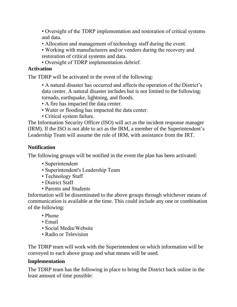• Oversight of the TDRP implementation and restoration of critical systems and data.

- Allocation and management of technology staff during the event.
- Working with manufacturers and/or vendors during the recovery and restoration of critical systems and data.
- Oversight of TDRP implementation debrief.

#### **Activation**

The TDRP will be activated in the event of the following:

• A natural disaster has occurred and affects the operation of the District's data center. A natural disaster includes but is not limited to the following: tornado, earthquake, lightning, and floods.

- A fire has impacted the data center.
- Water or flooding has impacted the data center.
- Critical system failure.

The Information Security Officer (ISO) will act as the incident response manager (IRM). If the ISO is not able to act as the IRM, a member of the Superintendent's Leadership Team will assume the role of IRM, with assistance from the IRT.

#### **Notification**

The following groups will be notified in the event the plan has been activated:

- Superintendent
- Superintendent's Leadership Team
- Technology Staff
- District Staff
- Parents and Students

Information will be disseminated to the above groups through whichever means of communication is available at the time. This could include any one or combination of the following:

- Phone
- Email
- Social Media/Website
- Radio or Television

The TDRP team will work with the Superintendent on which information will be conveyed to each above group and what means will be used.

#### **Implementation**

The TDRP team has the following in place to bring the District back online in the least amount of time possible: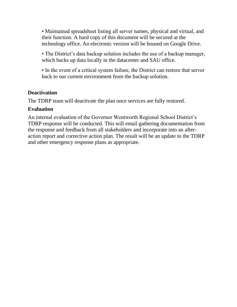• Maintained spreadsheet listing all server names, physical and virtual, and their function. A hard copy of this document will be secured at the technology office. An electronic version will be housed on Google Drive.

• The District's data backup solution includes the use of a backup manager, which backs up data locally in the datacenter and SAU office.

• In the event of a critical system failure, the District can restore that server back to our current environment from the backup solution.

#### **Deactivation**

The TDRP team will deactivate the plan once services are fully restored.

#### **Evaluation**

An internal evaluation of the Governor Wentworth Regional School District's TDRP response will be conducted. This will entail gathering documentation from the response and feedback from all stakeholders and incorporate into an afteraction report and corrective action plan. The result will be an update to the TDRP and other emergency response plans as appropriate.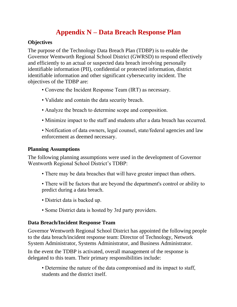### **Appendix N – Data Breach Response Plan**

#### <span id="page-52-0"></span>**Objectives**

The purpose of the Technology Data Breach Plan (TDBP) is to enable the Governor Wentworth Regional School District (GWRSD) to respond effectively and efficiently to an actual or suspected data breach involving personally identifiable information (PII), confidential or protected information, district identifiable information and other significant cybersecurity incident. The objectives of the TDBP are:

- Convene the Incident Response Team (IRT) as necessary.
- Validate and contain the data security breach.
- Analyze the breach to determine scope and composition.
- Minimize impact to the staff and students after a data breach has occurred.
- Notification of data owners, legal counsel, state/federal agencies and law enforcement as deemed necessary.

#### **Planning Assumptions**

The following planning assumptions were used in the development of Governor Wentworth Regional School District's TDBP:

- There may be data breaches that will have greater impact than others.
- There will be factors that are beyond the department's control or ability to predict during a data breach.
- District data is backed up.
- Some District data is hosted by 3rd party providers.

#### **Data Breach/Incident Response Team**

Governor Wentworth Regional School District has appointed the following people to the data breach/incident response team: Director of Technology, Network System Administrator, Systems Administrator, and Business Administrator.

In the event the TDBP is activated, overall management of the response is delegated to this team. Their primary responsibilities include:

• Determine the nature of the data compromised and its impact to staff, students and the district itself.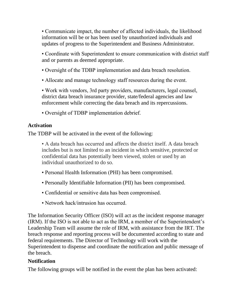• Communicate impact, the number of affected individuals, the likelihood information will be or has been used by unauthorized individuals and updates of progress to the Superintendent and Business Administrator.

• Coordinate with Superintendent to ensure communication with district staff and or parents as deemed appropriate.

• Oversight of the TDBP implementation and data breach resolution.

• Allocate and manage technology staff resources during the event.

• Work with vendors, 3rd party providers, manufacturers, legal counsel, district data breach insurance provider, state/federal agencies and law enforcement while correcting the data breach and its repercussions.

• Oversight of TDBP implementation debrief.

#### **Activation**

The TDBP will be activated in the event of the following:

• A data breach has occurred and affects the district itself. A data breach includes but is not limited to an incident in which sensitive, protected or confidential data has potentially been viewed, stolen or used by an individual unauthorized to do so.

- Personal Health Information (PHI) has been compromised.
- Personally Identifiable Information (PII) has been compromised.
- Confidential or sensitive data has been compromised.
- Network hack/intrusion has occurred.

The Information Security Officer (ISO) will act as the incident response manager (IRM). If the ISO is not able to act as the IRM, a member of the Superintendent's Leadership Team will assume the role of IRM, with assistance from the IRT. The breach response and reporting process will be documented according to state and federal requirements. The Director of Technology will work with the Superintendent to dispense and coordinate the notification and public message of the breach.

#### **Notification**

The following groups will be notified in the event the plan has been activated: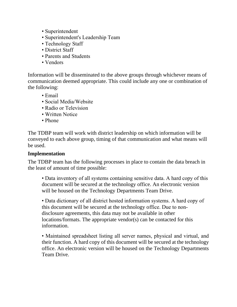- Superintendent
- Superintendent's Leadership Team
- Technology Staff
- District Staff
- Parents and Students
- Vendors

Information will be disseminated to the above groups through whichever means of communication deemed appropriate. This could include any one or combination of the following:

- Email
- Social Media/Website
- Radio or Television
- Written Notice
- Phone

The TDBP team will work with district leadership on which information will be conveyed to each above group, timing of that communication and what means will be used.

#### **Implementation**

The TDBP team has the following processes in place to contain the data breach in the least of amount of time possible:

• Data inventory of all systems containing sensitive data. A hard copy of this document will be secured at the technology office. An electronic version will be housed on the Technology Departments Team Drive.

• Data dictionary of all district hosted information systems. A hard copy of this document will be secured at the technology office. Due to non‐ disclosure agreements, this data may not be available in other locations/formats. The appropriate vendor(s) can be contacted for this information.

• Maintained spreadsheet listing all server names, physical and virtual, and their function. A hard copy of this document will be secured at the technology office. An electronic version will be housed on the Technology Departments Team Drive.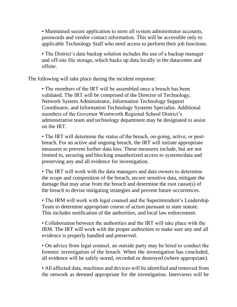• Maintained secure application to store all system administrator accounts, passwords and vendor contact information. This will be accessible only to applicable Technology Staff who need access to perform their job functions.

• The District's data backup solution includes the use of a backup manager and off‐site file storage, which backs up data locally in the datacenter and offsite.

The following will take place during the incident response:

• The members of the IRT will be assembled once a breach has been validated. The IRT will be comprised of the Director of Technology, Network System Administrator, Information Technology Support Coordinator, and Information Technology Systems Specialist. Additional members of the Governor Wentworth Regional School District's administrative team and technology department may be designated to assist on the IRT.

• The IRT will determine the status of the breach, on-going, active, or postbreach. For an active and ongoing breach, the IRT will initiate appropriate measures to prevent further data loss. These measures include, but are not limited to, securing and blocking unauthorized access to systems/data and preserving any and all evidence for investigation.

• The IRT will work with the data managers and data owners to determine the scope and composition of the breach, secure sensitive data, mitigate the damage that may arise from the breach and determine the root cause(s) of the breach to devise mitigating strategies and prevent future occurrences.

• The IRM will work with legal counsel and the Superintendent's Leadership Team to determine appropriate course of action pursuant to state statute. This includes notification of the authorities, and local law enforcement.

• Collaboration between the authorities and the IRT will take place with the IRM. The IRT will work with the proper authorities to make sure any and all evidence is properly handled and preserved.

• On advice from legal counsel, an outside party may be hired to conduct the forensic investigation of the breach. When the investigation has concluded, all evidence will be safely stored, recorded or destroyed (where appropriate).

• All affected data, machines and devices will be identified and removed from the network as deemed appropriate for the investigation. Interviews will be